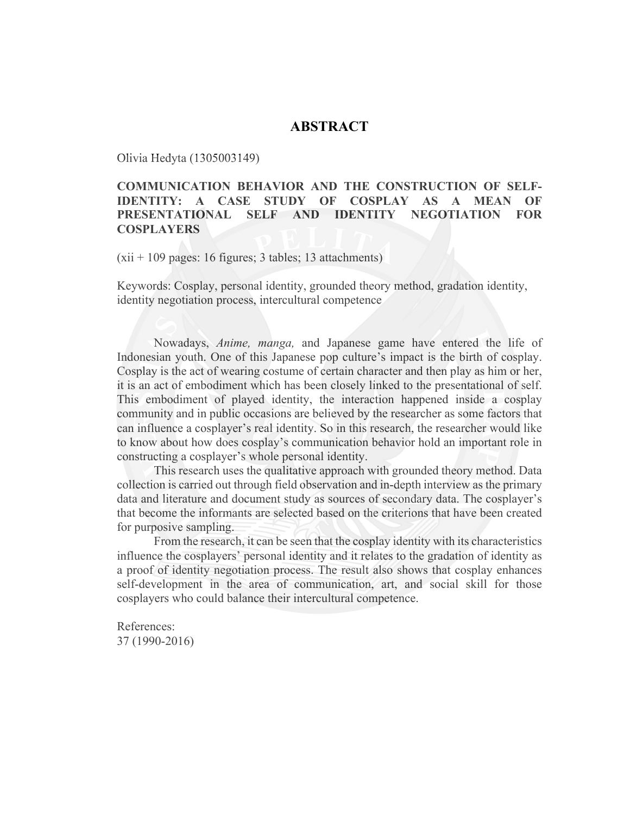## **ABSTRACT**

Olivia Hedyta (1305003149)

## **COMMUNICATION BEHAVIOR AND THE CONSTRUCTION OF SELF-IDENTITY: A CASE STUDY OF COSPLAY AS A MEAN OF PRESENTATIONAL SELF AND IDENTITY NEGOTIATION FOR COSPLAYERS**

(xii + 109 pages: 16 figures; 3 tables; 13 attachments)

Keywords: Cosplay, personal identity, grounded theory method, gradation identity, identity negotiation process, intercultural competence

Nowadays, *Anime, manga,* and Japanese game have entered the life of Indonesian youth. One of this Japanese pop culture's impact is the birth of cosplay. Cosplay is the act of wearing costume of certain character and then play as him or her, it is an act of embodiment which has been closely linked to the presentational of self. This embodiment of played identity, the interaction happened inside a cosplay community and in public occasions are believed by the researcher as some factors that can influence a cosplayer's real identity. So in this research, the researcher would like to know about how does cosplay's communication behavior hold an important role in constructing a cosplayer's whole personal identity.

This research uses the qualitative approach with grounded theory method. Data collection is carried out through field observation and in-depth interview as the primary data and literature and document study as sources of secondary data. The cosplayer's that become the informants are selected based on the criterions that have been created for purposive sampling.

From the research, it can be seen that the cosplay identity with its characteristics influence the cosplayers' personal identity and it relates to the gradation of identity as a proof of identity negotiation process. The result also shows that cosplay enhances self-development in the area of communication, art, and social skill for those cosplayers who could balance their intercultural competence.

References: 37 (1990-2016)